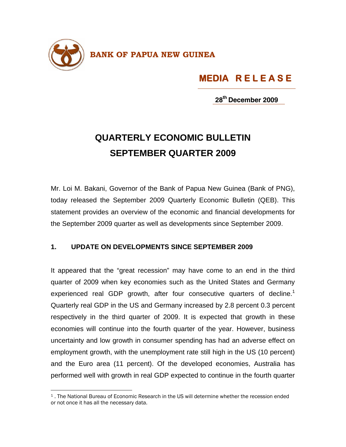

## **MEDIA R E L E A S E**

**28th December 2009**

## **QUARTERLY ECONOMIC BULLETIN SEPTEMBER QUARTER 2009**

Mr. Loi M. Bakani, Governor of the Bank of Papua New Guinea (Bank of PNG), today released the September 2009 Quarterly Economic Bulletin (QEB). This statement provides an overview of the economic and financial developments for the September 2009 quarter as well as developments since September 2009.

## **1. UPDATE ON DEVELOPMENTS SINCE SEPTEMBER 2009**

It appeared that the "great recession" may have come to an end in the third quarter of 2009 when key economies such as the United States and Germany experienced real GDP growth, after four consecutive quarters of decline.<sup>1</sup> Quarterly real GDP in the US and Germany increased by 2.8 percent 0.3 percent respectively in the third quarter of 2009. It is expected that growth in these economies will continue into the fourth quarter of the year. However, business uncertainty and low growth in consumer spending has had an adverse effect on employment growth, with the unemployment rate still high in the US (10 percent) and the Euro area (11 percent). Of the developed economies, Australia has performed well with growth in real GDP expected to continue in the fourth quarter

 $\overline{\phantom{a}}$ 

<sup>1 .</sup> The National Bureau of Economic Research in the US will determine whether the recession ended or not once it has all the necessary data.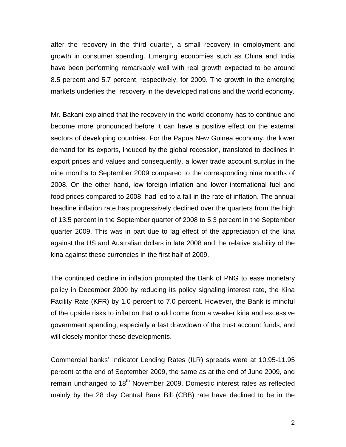after the recovery in the third quarter, a small recovery in employment and growth in consumer spending. Emerging economies such as China and India have been performing remarkably well with real growth expected to be around 8.5 percent and 5.7 percent, respectively, for 2009. The growth in the emerging markets underlies the recovery in the developed nations and the world economy.

Mr. Bakani explained that the recovery in the world economy has to continue and become more pronounced before it can have a positive effect on the external sectors of developing countries. For the Papua New Guinea economy, the lower demand for its exports, induced by the global recession, translated to declines in export prices and values and consequently, a lower trade account surplus in the nine months to September 2009 compared to the corresponding nine months of 2008. On the other hand, low foreign inflation and lower international fuel and food prices compared to 2008, had led to a fall in the rate of inflation. The annual headline inflation rate has progressively declined over the quarters from the high of 13.5 percent in the September quarter of 2008 to 5.3 percent in the September quarter 2009. This was in part due to lag effect of the appreciation of the kina against the US and Australian dollars in late 2008 and the relative stability of the kina against these currencies in the first half of 2009.

The continued decline in inflation prompted the Bank of PNG to ease monetary policy in December 2009 by reducing its policy signaling interest rate, the Kina Facility Rate (KFR) by 1.0 percent to 7.0 percent. However, the Bank is mindful of the upside risks to inflation that could come from a weaker kina and excessive government spending, especially a fast drawdown of the trust account funds, and will closely monitor these developments.

Commercial banks' Indicator Lending Rates (ILR) spreads were at 10.95-11.95 percent at the end of September 2009, the same as at the end of June 2009, and remain unchanged to 18<sup>th</sup> November 2009. Domestic interest rates as reflected mainly by the 28 day Central Bank Bill (CBB) rate have declined to be in the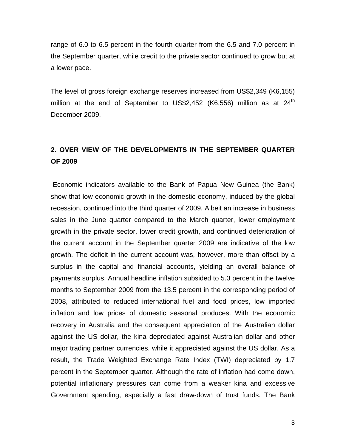range of 6.0 to 6.5 percent in the fourth quarter from the 6.5 and 7.0 percent in the September quarter, while credit to the private sector continued to grow but at a lower pace.

The level of gross foreign exchange reserves increased from US\$2,349 (K6,155) million at the end of September to US\$2,452 (K6,556) million as at  $24<sup>th</sup>$ December 2009.

## **2. OVER VIEW OF THE DEVELOPMENTS IN THE SEPTEMBER QUARTER OF 2009**

 Economic indicators available to the Bank of Papua New Guinea (the Bank) show that low economic growth in the domestic economy, induced by the global recession, continued into the third quarter of 2009. Albeit an increase in business sales in the June quarter compared to the March quarter, lower employment growth in the private sector, lower credit growth, and continued deterioration of the current account in the September quarter 2009 are indicative of the low growth. The deficit in the current account was, however, more than offset by a surplus in the capital and financial accounts, yielding an overall balance of payments surplus. Annual headline inflation subsided to 5.3 percent in the twelve months to September 2009 from the 13.5 percent in the corresponding period of 2008, attributed to reduced international fuel and food prices, low imported inflation and low prices of domestic seasonal produces. With the economic recovery in Australia and the consequent appreciation of the Australian dollar against the US dollar, the kina depreciated against Australian dollar and other major trading partner currencies, while it appreciated against the US dollar. As a result, the Trade Weighted Exchange Rate Index (TWI) depreciated by 1.7 percent in the September quarter. Although the rate of inflation had come down, potential inflationary pressures can come from a weaker kina and excessive Government spending, especially a fast draw-down of trust funds. The Bank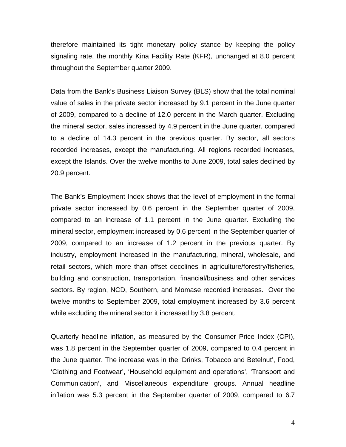therefore maintained its tight monetary policy stance by keeping the policy signaling rate, the monthly Kina Facility Rate (KFR), unchanged at 8.0 percent throughout the September quarter 2009.

Data from the Bank's Business Liaison Survey (BLS) show that the total nominal value of sales in the private sector increased by 9.1 percent in the June quarter of 2009, compared to a decline of 12.0 percent in the March quarter. Excluding the mineral sector, sales increased by 4.9 percent in the June quarter, compared to a decline of 14.3 percent in the previous quarter. By sector, all sectors recorded increases, except the manufacturing. All regions recorded increases, except the Islands. Over the twelve months to June 2009, total sales declined by 20.9 percent.

The Bank's Employment Index shows that the level of employment in the formal private sector increased by 0.6 percent in the September quarter of 2009, compared to an increase of 1.1 percent in the June quarter. Excluding the mineral sector, employment increased by 0.6 percent in the September quarter of 2009, compared to an increase of 1.2 percent in the previous quarter. By industry, employment increased in the manufacturing, mineral, wholesale, and retail sectors, which more than offset decclines in agriculture/forestry/fisheries, building and construction, transportation, financial/business and other services sectors. By region, NCD, Southern, and Momase recorded increases. Over the twelve months to September 2009, total employment increased by 3.6 percent while excluding the mineral sector it increased by 3.8 percent.

Quarterly headline inflation, as measured by the Consumer Price Index (CPI), was 1.8 percent in the September quarter of 2009, compared to 0.4 percent in the June quarter. The increase was in the 'Drinks, Tobacco and Betelnut', Food, 'Clothing and Footwear', 'Household equipment and operations', 'Transport and Communication', and Miscellaneous expenditure groups. Annual headline inflation was 5.3 percent in the September quarter of 2009, compared to 6.7

4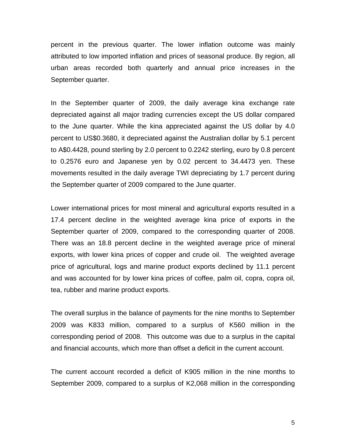percent in the previous quarter. The lower inflation outcome was mainly attributed to low imported inflation and prices of seasonal produce. By region, all urban areas recorded both quarterly and annual price increases in the September quarter.

In the September quarter of 2009, the daily average kina exchange rate depreciated against all major trading currencies except the US dollar compared to the June quarter. While the kina appreciated against the US dollar by 4.0 percent to US\$0.3680, it depreciated against the Australian dollar by 5.1 percent to A\$0.4428, pound sterling by 2.0 percent to 0.2242 sterling, euro by 0.8 percent to 0.2576 euro and Japanese yen by 0.02 percent to 34.4473 yen. These movements resulted in the daily average TWI depreciating by 1.7 percent during the September quarter of 2009 compared to the June quarter.

Lower international prices for most mineral and agricultural exports resulted in a 17.4 percent decline in the weighted average kina price of exports in the September quarter of 2009, compared to the corresponding quarter of 2008. There was an 18.8 percent decline in the weighted average price of mineral exports, with lower kina prices of copper and crude oil. The weighted average price of agricultural, logs and marine product exports declined by 11.1 percent and was accounted for by lower kina prices of coffee, palm oil, copra, copra oil, tea, rubber and marine product exports.

The overall surplus in the balance of payments for the nine months to September 2009 was K833 million, compared to a surplus of K560 million in the corresponding period of 2008. This outcome was due to a surplus in the capital and financial accounts, which more than offset a deficit in the current account.

The current account recorded a deficit of K905 million in the nine months to September 2009, compared to a surplus of K2,068 million in the corresponding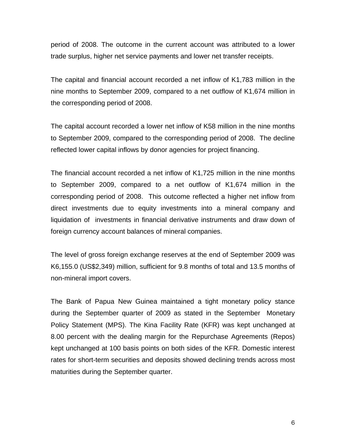period of 2008. The outcome in the current account was attributed to a lower trade surplus, higher net service payments and lower net transfer receipts.

The capital and financial account recorded a net inflow of K1,783 million in the nine months to September 2009, compared to a net outflow of K1,674 million in the corresponding period of 2008.

The capital account recorded a lower net inflow of K58 million in the nine months to September 2009, compared to the corresponding period of 2008. The decline reflected lower capital inflows by donor agencies for project financing.

The financial account recorded a net inflow of K1,725 million in the nine months to September 2009, compared to a net outflow of K1,674 million in the corresponding period of 2008. This outcome reflected a higher net inflow from direct investments due to equity investments into a mineral company and liquidation of investments in financial derivative instruments and draw down of foreign currency account balances of mineral companies.

The level of gross foreign exchange reserves at the end of September 2009 was K6,155.0 (US\$2,349) million, sufficient for 9.8 months of total and 13.5 months of non-mineral import covers.

The Bank of Papua New Guinea maintained a tight monetary policy stance during the September quarter of 2009 as stated in the September Monetary Policy Statement (MPS). The Kina Facility Rate (KFR) was kept unchanged at 8.00 percent with the dealing margin for the Repurchase Agreements (Repos) kept unchanged at 100 basis points on both sides of the KFR. Domestic interest rates for short-term securities and deposits showed declining trends across most maturities during the September quarter.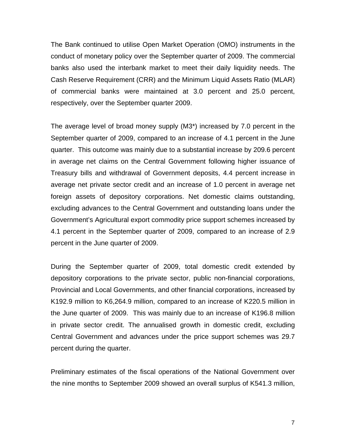The Bank continued to utilise Open Market Operation (OMO) instruments in the conduct of monetary policy over the September quarter of 2009. The commercial banks also used the interbank market to meet their daily liquidity needs. The Cash Reserve Requirement (CRR) and the Minimum Liquid Assets Ratio (MLAR) of commercial banks were maintained at 3.0 percent and 25.0 percent, respectively, over the September quarter 2009.

The average level of broad money supply (M3\*) increased by 7.0 percent in the September quarter of 2009, compared to an increase of 4.1 percent in the June quarter. This outcome was mainly due to a substantial increase by 209.6 percent in average net claims on the Central Government following higher issuance of Treasury bills and withdrawal of Government deposits, 4.4 percent increase in average net private sector credit and an increase of 1.0 percent in average net foreign assets of depository corporations. Net domestic claims outstanding, excluding advances to the Central Government and outstanding loans under the Government's Agricultural export commodity price support schemes increased by 4.1 percent in the September quarter of 2009, compared to an increase of 2.9 percent in the June quarter of 2009.

During the September quarter of 2009, total domestic credit extended by depository corporations to the private sector, public non-financial corporations, Provincial and Local Governments, and other financial corporations, increased by K192.9 million to K6,264.9 million, compared to an increase of K220.5 million in the June quarter of 2009. This was mainly due to an increase of K196.8 million in private sector credit. The annualised growth in domestic credit, excluding Central Government and advances under the price support schemes was 29.7 percent during the quarter.

Preliminary estimates of the fiscal operations of the National Government over the nine months to September 2009 showed an overall surplus of K541.3 million,